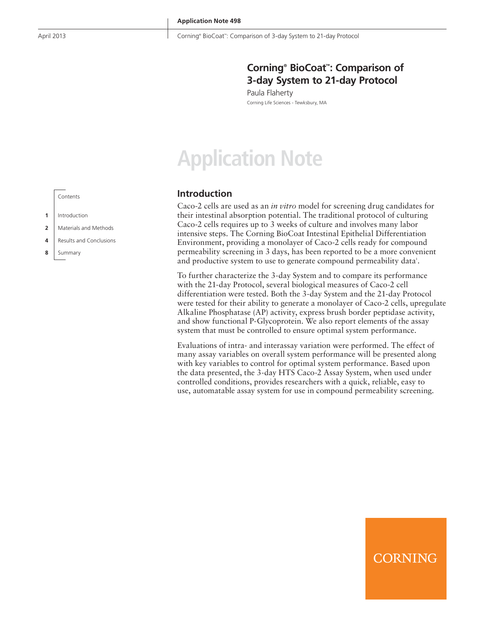# **Corning® BioCoat™ : Comparison of 3-day System to 21-day Protocol**

Paula Flaherty Corning Life Sciences - Tewksbury, MA

# **Application Note**

# **Introduction**

Caco-2 cells are used as an *in vitro* model for screening drug candidates for their intestinal absorption potential. The traditional protocol of culturing Caco-2 cells requires up to 3 weeks of culture and involves many labor intensive steps. The Corning BioCoat Intestinal Epithelial Differentiation Environment, providing a monolayer of Caco-2 cells ready for compound permeability screening in 3 days, has been reported to be a more convenient and productive system to use to generate compound permeability data<sup>1</sup>.

To further characterize the 3-day System and to compare its performance with the 21-day Protocol, several biological measures of Caco-2 cell differentiation were tested. Both the 3-day System and the 21-day Protocol were tested for their ability to generate a monolayer of Caco-2 cells, upregulate Alkaline Phosphatase (AP) activity, express brush border peptidase activity, and show functional P-Glycoprotein. We also report elements of the assay system that must be controlled to ensure optimal system performance.

Evaluations of intra- and interassay variation were performed. The effect of many assay variables on overall system performance will be presented along with key variables to control for optimal system performance. Based upon the data presented, the 3-day HTS Caco-2 Assay System, when used under controlled conditions, provides researchers with a quick, reliable, easy to use, automatable assay system for use in compound permeability screening.

**CORNING** 

Contents

- **1** Introduction
- **2** Materials and Methods
- **4** Results and Conclusions
- **8** Summary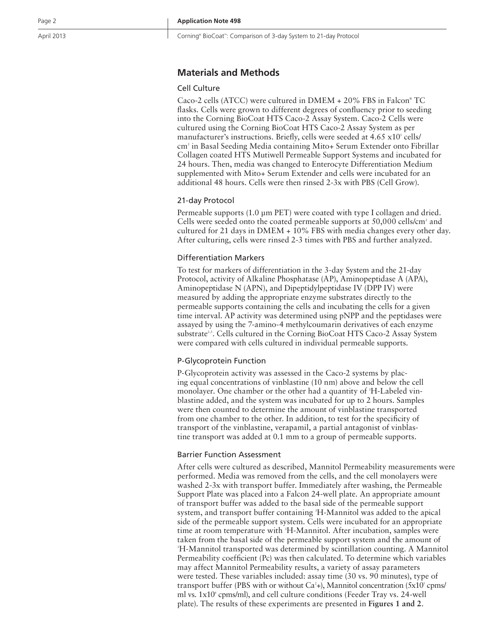# **Materials and Methods**

## Cell Culture

Caco-2 cells (ATCC) were cultured in DMEM + 20% FBS in Falcon ® TC flasks. Cells were grown to different degrees of confluency prior to seeding into the Corning BioCoat HTS Caco-2 Assay System. Caco-2 Cells were cultured using the Corning BioCoat HTS Caco-2 Assay System as per manufacturer's instructions. Briefly, cells were seeded at 4.65 x10<sup>s</sup> cells/ cm 2 in Basal Seeding Media containing Mito+ Serum Extender onto Fibrillar Collagen coated HTS Mutiwell Permeable Support Systems and incubated for 24 hours. Then, media was changed to Enterocyte Differentiation Medium supplemented with Mito+ Serum Extender and cells were incubated for an additional 48 hours. Cells were then rinsed 2-3x with PBS (Cell Grow).

## 21-day Protocol

Permeable supports (1.0 μm PET) were coated with type I collagen and dried. Cells were seeded onto the coated permeable supports at  $50,000$  cells/cm<sup>2</sup> and cultured for 21 days in DMEM + 10% FBS with media changes every other day. After culturing, cells were rinsed 2-3 times with PBS and further analyzed.

# Differentiation Markers

To test for markers of differentiation in the 3-day System and the 21-day Protocol, activity of Alkaline Phosphatase (AP), Aminopeptidase A (APA), Aminopeptidase N (APN), and Dipeptidylpeptidase IV (DPP IV) were measured by adding the appropriate enzyme substrates directly to the permeable supports containing the cells and incubating the cells for a given time interval. AP activity was determined using pNPP and the peptidases were assayed by using the 7-amino-4 methylcoumarin derivatives of each enzyme substrate<sup>2,3</sup>. Cells cultured in the Corning BioCoat HTS Caco-2 Assay System were compared with cells cultured in individual permeable supports.

## P-Glycoprotein Function

P-Glycoprotein activity was assessed in the Caco-2 systems by plac ing equal concentrations of vinblastine (10 nm) above and below the cell monolayer. One chamber or the other had a quantity of <sup>3</sup>H-Labeled vinblastine added, and the system was incubated for up to 2 hours. Samples were then counted to determine the amount of vinblastine transported from one chamber to the other. In addition, to test for the specificity of transport of the vinblastine, verapamil, a partial antagonist of vinblas tine transport was added at 0.1 mm to a group of permeable supports.

### Barrier Function Assessment

After cells were cultured as described, Mannitol Permeability measurements were performed. Media was removed from the cells, and the cell monolayers were washed 2-3x with transport buffer. Immediately after washing, the Permeable Support Plate was placed into a Falcon 24-well plate. An appropriate amount of transport buffer was added to the basal side of the permeable support system, and transport buffer containing 3 H-Mannitol was added to the apical side of the permeable support system. Cells were incubated for an appropriate time at room temperature with 3 H-Mannitol. After incubation, samples were taken from the basal side of the permeable support system and the amount of H-Mannitol transported was determined by scintillation counting. A Mannitol Permeability coefficient (Pc) was then calculated. To determine which variables may affect Mannitol Permeability results, a variety of assay parameters were tested. These variables included: assay time (30 vs. 90 minutes), type of transport buffer (PBS with or without Ca<sup>2</sup>+), Mannitol concentration (5x10<sup>s</sup> cpms/ ml vs. 1x10 6 cpms/ml), and cell culture conditions (Feeder Tray vs. 24-well plate). The results of these experiments are presented in **Figures 1 and 2** .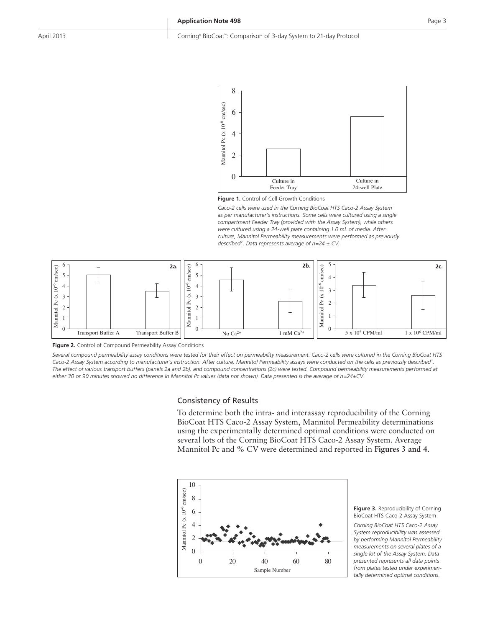#### April 2013 : Corning® BioCoat™: Comparison of 3-day System to 21-day Protocol



**Figure 1.** Control of Cell Growth Conditions

*Caco-2 cells were used in the Corning BioCoat HTS Caco-2 Assay System as per manufacturer's instructions. Some cells were cultured using a single compartment Feeder Tray (provided with the Assay System), while others were cultured using a 24-well plate containing 1.0 mL of media. After culture, Mannitol Permeability measurements were performed as previously described2 . Data represents average of n=24 ± CV.*



**Figure 2.** Control of Compound Permeability Assay Conditions

*Several compound permeability assay conditions were tested for their effect on permeability measurement. Caco-2 cells were cultured in the Corning BioCoat HTS*  Caco-2 Assay System according to manufacturer's instruction. After culture, Mannitol Permeability assays were conducted on the cells as previously described<sup>2</sup>. *The effect of various transport buffers (panels 2a and 2b), and compound concentrations (2c) were tested. Compound permeability measurements performed at either 30 or 90 minutes showed no difference in Mannitol Pc values (data not shown). Data presented is the average of n=24±CV*

#### Consistency of Results

To determine both the intra- and interassay reproducibility of the Corning BioCoat HTS Caco-2 Assay System, Mannitol Permeability determinations using the experimentally determined optimal conditions were conducted on several lots of the Corning BioCoat HTS Caco-2 Assay System. Average Mannitol Pc and % CV were determined and reported in **Figures 3 and 4**.



**Figure 3.** Reproducibility of Corning BioCoat HTS Caco-2 Assay System

*Corning BioCoat HTS Caco-2 Assay System reproducibility was assessed by performing Mannitol Permeability measurements on several plates of a single lot of the Assay System. Data presented represents all data points from plates tested under experimentally determined optimal conditions.*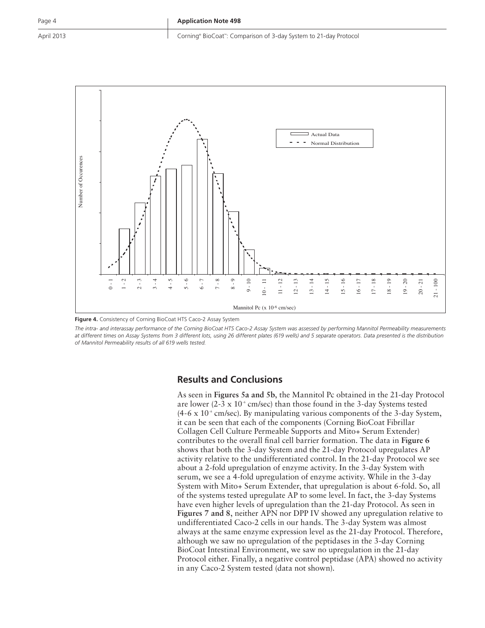April 2013 : Corning® BioCoat™: Comparison of 3-day System to 21-day Protocol



**Figure 4.** Consistency of Corning BioCoat HTS Caco-2 Assay System

*The intra- and interassay performance of the Corning BioCoat HTS Caco-2 Assay System was assessed by performing Mannitol Permeability measurements at different times on Assay Systems from 3 different lots, using 26 different plates (619 wells) and 5 separate operators. Data presented is the distribution* 

# **Results and Conclusions**

As seen in **Figures 5a and 5b**, the Mannitol Pc obtained in the 21-day Protocol are lower (2-3 x  $10^{-6}$  cm/sec) than those found in the 3-day Systems tested  $(4-6 \times 10^{-6} \text{ cm/sec})$ . By manipulating various components of the 3-day System, it can be seen that each of the components (Corning BioCoat Fibrillar Collagen Cell Culture Permeable Supports and Mito+ Serum Extender) contributes to the overall final cell barrier formation. The data in **Figure 6** shows that both the 3-day System and the 21-day Protocol upregulates AP activity relative to the undifferentiated control. In the 21-day Protocol we see about a 2-fold upregulation of enzyme activity. In the 3-day System with serum, we see a 4-fold upregulation of enzyme activity. While in the 3-day System with Mito+ Serum Extender, that upregulation is about 6-fold. So, all of the systems tested upregulate AP to some level. In fact, the 3-day Systems have even higher levels of upregulation than the 21-day Protocol. As seen in **Figures 7 and 8**, neither APN nor DPP IV showed any upregulation relative to undifferentiated Caco-2 cells in our hands. The 3-day System was almost always at the same enzyme expression level as the 21-day Protocol. Therefore, although we saw no upregulation of the peptidases in the 3-day Corning BioCoat Intestinal Environment, we saw no upregulation in the 21-day Protocol either. Finally, a negative control peptidase (APA) showed no activity in any Caco-2 System tested (data not shown).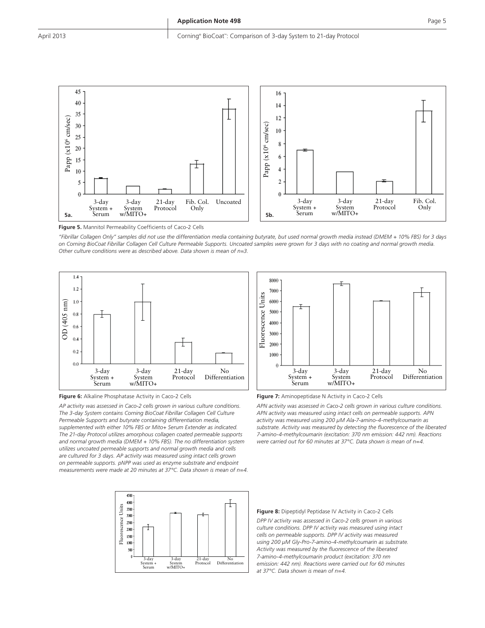

**Figure 5.** Mannitol Permeability Coefficients of Caco-2 Cells

*"Fibrillar Collagen Only" samples did not use the differentiation media containing butyrate, but used normal growth media instead (DMEM + 10% FBS) for 3 days on Corning BioCoat Fibrillar Collagen Cell Culture Permeable Supports. Uncoated samples were grown for 3 days with no coating and normal growth media.* 



**Figure 6:** Alkaline Phosphatase Activity in Caco-2 Cells

*AP activity was assessed in Caco-2 cells grown in various culture conditions. The 3-day System contains Corning BioCoat Fibrillar Collagen Cell Culture Permeable Supports and butyrate containing differentiation media, supplemented with either 10% FBS or Mito+ Serum Extender as indicated. The 21-day Protocol utilizes amorphous collagen coated permeable supports and normal growth media (DMEM + 10% FBS). The no differentiation system utilizes uncoated permeable supports and normal growth media and cells are cultured for 3 days. AP activity was measured using intact cells grown on permeable supports. pNPP was used as enzyme substrate and endpoint measurements were made at 20 minutes at 37°C. Data shown is mean of n=4.*





**Figure 7:** Aminopeptidase N Activity in Caco-2 Cells

*APN activity was assessed in Caco-2 cells grown in various culture conditions. APN activity was measured using intact cells on permeable supports. APN activity was measured using 200 μM Ala-7-amino-4-methylcoumarin as substrate. Activity was measured by detecting the fluorescence of the liberated 7-amino-4-methylcoumarin (excitation: 370 nm emission: 442 nm). Reactions were carried out for 60 minutes at 37°C. Data shown is mean of n=4.*

#### **Figure 8:** Dipeptidyl Peptidase IV Activity in Caco-2 Cells

*DPP IV activity was assessed in Caco-2 cells grown in various culture conditions. DPP IV activity was measured using intact cells on permeable supports. DPP IV activity was measured using 200 µM Gly-Pro-7-amino-4-methylcoumarin as substrate. Activity was measured by the fluorescence of the liberated 7-amino-4-methylcoumarin product (excitation: 370 nm emission: 442 nm). Reactions were carried out for 60 minutes at 37°C. Data shown is mean of n=4.*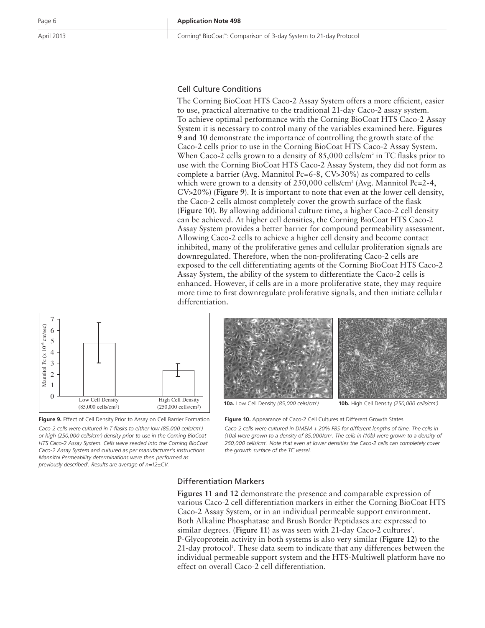April 2013 : Corning® BioCoat™: Comparison of 3-day System to 21-day Protocol

# Cell Culture Conditions

The Corning BioCoat HTS Caco-2 Assay System offers a more efficient, easier to use, practical alternative to the traditional 21-day Caco-2 assay system. To achieve optimal performance with the Corning BioCoat HTS Caco-2 Assay System it is necessary to control many of the variables examined here. **Figures 9 and 10** demonstrate the importance of controlling the growth state of the Caco-2 cells prior to use in the Corning BioCoat HTS Caco-2 Assay System. When Caco-2 cells grown to a density of 85,000 cells/cm<sup>2</sup> in TC flasks prior to use with the Corning BioCoat HTS Caco-2 Assay System, they did not form as complete a barrier (Avg. Mannitol Pc=6-8, CV>30%) as compared to cells which were grown to a density of  $250,000$  cells/cm<sup>2</sup> (Avg. Mannitol Pc=2-4, CV>20%) (**Figure 9**). It is important to note that even at the lower cell density, the Caco-2 cells almost completely cover the growth surface of the flask (**Figure 10**). By allowing additional culture time, a higher Caco-2 cell density can be achieved. At higher cell densities, the Corning BioCoat HTS Caco-2 Assay System provides a better barrier for compound permeability assessment. Allowing Caco-2 cells to achieve a higher cell density and become contact inhibited, many of the proliferative genes and cellular proliferation signals are downregulated. Therefore, when the non-proliferating Caco-2 cells are exposed to the cell differentiating agents of the Corning BioCoat HTS Caco-2 Assay System, the ability of the system to differentiate the Caco-2 cells is enhanced. However, if cells are in a more proliferative state, they may require more time to first downregulate proliferative signals, and then initiate cellular differentiation.



**Figure 9.** Effect of Cell Density Prior to Assay on Cell Barrier Formation

Caco-2 cells were cultured in T-flasks to either low (85,000 cells/cm<sup>2</sup>) *or high (250,000 cells/cm2 ) density prior to use in the Corning BioCoat HTS Caco-2 Assay System. Cells were seeded into the Corning BioCoat Caco-2 Assay System and cultured as per manufacturer's instructions. Mannitol Permeability determinations were then performed as previously described2 . Results are average of n=12±CV.*



**10a.** Low Cell Density *(85,000 cells/cm2*

*)* **10b.** High Cell Density *(250,000 cells/cm2 )*

**Figure 10.** Appearance of Caco-2 Cell Cultures at Different Growth States

*Caco-2 cells were cultured in DMEM + 20% FBS for different lengths of time. The cells in (10a) were grown to a density of 85,000/cm2 . The cells in (10b) were grown to a density of 250,000 cells/cm2 . Note that even at lower densities the Caco-2 cells can completely cover the growth surface of the TC vessel.*

#### Differentiation Markers

**Figures 11 and 12** demonstrate the presence and comparable expression of various Caco-2 cell differentiation markers in either the Corning BioCoat HTS Caco-2 Assay System, or in an individual permeable support environment. Both Alkaline Phosphatase and Brush Border Peptidases are expressed to similar degrees. (Figure 11) as was seen with 21-day Caco-2 cultures<sup>2</sup>. P-Glycoprotein activity in both systems is also very similar (**Figure 12**) to the 21-day protocol<sup>2</sup>. These data seem to indicate that any differences between the individual permeable support system and the HTS-Multiwell platform have no effect on overall Caco-2 cell differentiation.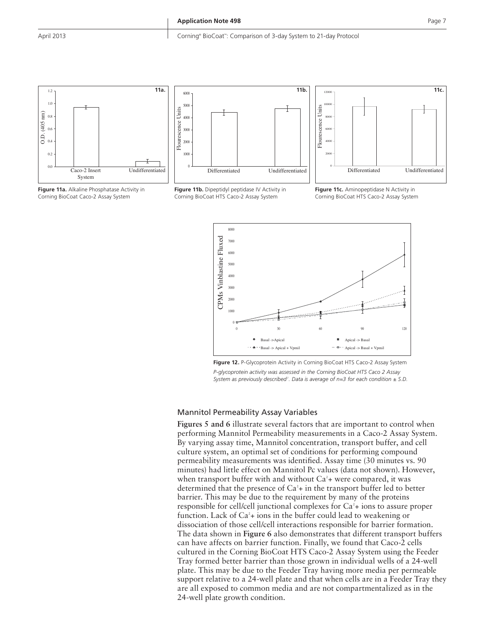





**Figure 11b.** Dipeptidyl peptidase IV Activity in Corning BioCoat HTS Caco-2 Assay System



**Figure 11c.** Aminopeptidase N Activity in Corning BioCoat HTS Caco-2 Assay System



**Figure 12.** P-Glycoprotein Activity in Corning BioCoat HTS Caco-2 Assay System *P-glycoprotein activity was assessed in the Corning BioCoat HTS Caco 2 Assay*  System as previously described<sup>2</sup>. Data is average of n=3 for each condition  $\pm$  S.D.

#### Mannitol Permeability Assay Variables

**Figures 5 and 6** illustrate several factors that are important to control when performing Mannitol Permeability measurements in a Caco-2 Assay System. By varying assay time, Mannitol concentration, transport buffer, and cell culture system, an optimal set of conditions for performing compound permeability measurements was identified. Assay time (30 minutes vs. 90 minutes) had little effect on Mannitol Pc values (data not shown). However, when transport buffer with and without  $Ca<sup>2</sup>$ + were compared, it was determined that the presence of  $Ca^2 + in$  the transport buffer led to better barrier. This may be due to the requirement by many of the proteins responsible for cell/cell junctional complexes for  $Ca<sup>2</sup> + i$  ions to assure proper function. Lack of Ca<sup>2</sup>+ ions in the buffer could lead to weakening or dissociation of those cell/cell interactions responsible for barrier formation. The data shown in **Figure 6** also demonstrates that different transport buffers can have affects on barrier function. Finally, we found that Caco-2 cells cultured in the Corning BioCoat HTS Caco-2 Assay System using the Feeder Tray formed better barrier than those grown in individual wells of a 24-well plate. This may be due to the Feeder Tray having more media per permeable support relative to a 24-well plate and that when cells are in a Feeder Tray they are all exposed to common media and are not compartmentalized as in the 24-well plate growth condition.